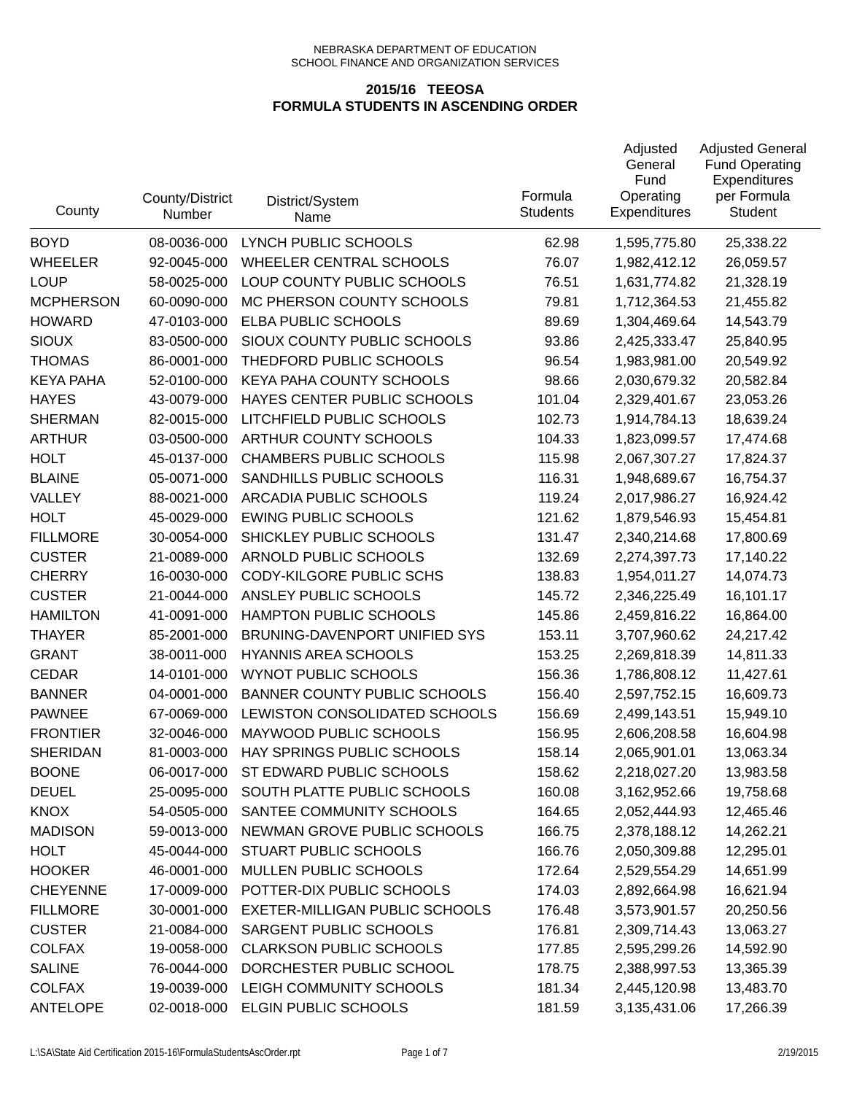| County           | County/District<br>Number | District/System<br>Name               | Formula<br><b>Students</b> | Adjusted<br>General<br>Fund<br>Operating<br><b>Expenditures</b> | <b>Adjusted General</b><br><b>Fund Operating</b><br>Expenditures<br>per Formula<br><b>Student</b> |
|------------------|---------------------------|---------------------------------------|----------------------------|-----------------------------------------------------------------|---------------------------------------------------------------------------------------------------|
| <b>BOYD</b>      | 08-0036-000               | LYNCH PUBLIC SCHOOLS                  | 62.98                      | 1,595,775.80                                                    | 25,338.22                                                                                         |
| <b>WHEELER</b>   | 92-0045-000               | <b>WHEELER CENTRAL SCHOOLS</b>        | 76.07                      | 1,982,412.12                                                    | 26,059.57                                                                                         |
| <b>LOUP</b>      | 58-0025-000               | LOUP COUNTY PUBLIC SCHOOLS            | 76.51                      | 1,631,774.82                                                    | 21,328.19                                                                                         |
| <b>MCPHERSON</b> | 60-0090-000               | MC PHERSON COUNTY SCHOOLS             | 79.81                      | 1,712,364.53                                                    | 21,455.82                                                                                         |
| <b>HOWARD</b>    | 47-0103-000               | ELBA PUBLIC SCHOOLS                   | 89.69                      | 1,304,469.64                                                    | 14,543.79                                                                                         |
| <b>SIOUX</b>     | 83-0500-000               | SIOUX COUNTY PUBLIC SCHOOLS           | 93.86                      | 2,425,333.47                                                    | 25,840.95                                                                                         |
| <b>THOMAS</b>    | 86-0001-000               | THEDFORD PUBLIC SCHOOLS               | 96.54                      | 1,983,981.00                                                    | 20,549.92                                                                                         |
| <b>KEYA PAHA</b> | 52-0100-000               | KEYA PAHA COUNTY SCHOOLS              | 98.66                      | 2,030,679.32                                                    | 20,582.84                                                                                         |
| <b>HAYES</b>     | 43-0079-000               | HAYES CENTER PUBLIC SCHOOLS           | 101.04                     | 2,329,401.67                                                    | 23,053.26                                                                                         |
| <b>SHERMAN</b>   | 82-0015-000               | LITCHFIELD PUBLIC SCHOOLS             | 102.73                     | 1,914,784.13                                                    | 18,639.24                                                                                         |
| <b>ARTHUR</b>    | 03-0500-000               | ARTHUR COUNTY SCHOOLS                 | 104.33                     | 1,823,099.57                                                    | 17,474.68                                                                                         |
| <b>HOLT</b>      | 45-0137-000               | <b>CHAMBERS PUBLIC SCHOOLS</b>        | 115.98                     | 2,067,307.27                                                    | 17,824.37                                                                                         |
| <b>BLAINE</b>    | 05-0071-000               | SANDHILLS PUBLIC SCHOOLS              | 116.31                     | 1,948,689.67                                                    | 16,754.37                                                                                         |
| <b>VALLEY</b>    | 88-0021-000               | ARCADIA PUBLIC SCHOOLS                | 119.24                     | 2,017,986.27                                                    | 16,924.42                                                                                         |
| <b>HOLT</b>      | 45-0029-000               | <b>EWING PUBLIC SCHOOLS</b>           | 121.62                     | 1,879,546.93                                                    | 15,454.81                                                                                         |
| <b>FILLMORE</b>  | 30-0054-000               | SHICKLEY PUBLIC SCHOOLS               | 131.47                     | 2,340,214.68                                                    | 17,800.69                                                                                         |
| <b>CUSTER</b>    | 21-0089-000               | ARNOLD PUBLIC SCHOOLS                 | 132.69                     | 2,274,397.73                                                    | 17,140.22                                                                                         |
| <b>CHERRY</b>    | 16-0030-000               | CODY-KILGORE PUBLIC SCHS              | 138.83                     | 1,954,011.27                                                    | 14,074.73                                                                                         |
| <b>CUSTER</b>    | 21-0044-000               | ANSLEY PUBLIC SCHOOLS                 | 145.72                     | 2,346,225.49                                                    | 16,101.17                                                                                         |
| <b>HAMILTON</b>  | 41-0091-000               | HAMPTON PUBLIC SCHOOLS                | 145.86                     | 2,459,816.22                                                    | 16,864.00                                                                                         |
| <b>THAYER</b>    | 85-2001-000               | BRUNING-DAVENPORT UNIFIED SYS         | 153.11                     | 3,707,960.62                                                    | 24,217.42                                                                                         |
| <b>GRANT</b>     | 38-0011-000               | <b>HYANNIS AREA SCHOOLS</b>           | 153.25                     | 2,269,818.39                                                    | 14,811.33                                                                                         |
| <b>CEDAR</b>     | 14-0101-000               | <b>WYNOT PUBLIC SCHOOLS</b>           | 156.36                     | 1,786,808.12                                                    | 11,427.61                                                                                         |
| <b>BANNER</b>    | 04-0001-000               | <b>BANNER COUNTY PUBLIC SCHOOLS</b>   | 156.40                     | 2,597,752.15                                                    | 16,609.73                                                                                         |
| <b>PAWNEE</b>    | 67-0069-000               | LEWISTON CONSOLIDATED SCHOOLS         | 156.69                     | 2,499,143.51                                                    | 15,949.10                                                                                         |
| <b>FRONTIER</b>  | 32-0046-000               | MAYWOOD PUBLIC SCHOOLS                | 156.95                     | 2,606,208.58                                                    | 16,604.98                                                                                         |
| <b>SHERIDAN</b>  | 81-0003-000               | HAY SPRINGS PUBLIC SCHOOLS            | 158.14                     | 2,065,901.01                                                    | 13,063.34                                                                                         |
| <b>BOONE</b>     | 06-0017-000               | ST EDWARD PUBLIC SCHOOLS              | 158.62                     | 2,218,027.20                                                    | 13,983.58                                                                                         |
| <b>DEUEL</b>     | 25-0095-000               | SOUTH PLATTE PUBLIC SCHOOLS           | 160.08                     | 3,162,952.66                                                    | 19,758.68                                                                                         |
| <b>KNOX</b>      | 54-0505-000               | SANTEE COMMUNITY SCHOOLS              | 164.65                     | 2,052,444.93                                                    | 12,465.46                                                                                         |
| <b>MADISON</b>   | 59-0013-000               | NEWMAN GROVE PUBLIC SCHOOLS           | 166.75                     | 2,378,188.12                                                    | 14,262.21                                                                                         |
| <b>HOLT</b>      | 45-0044-000               | STUART PUBLIC SCHOOLS                 | 166.76                     | 2,050,309.88                                                    | 12,295.01                                                                                         |
| <b>HOOKER</b>    | 46-0001-000               | MULLEN PUBLIC SCHOOLS                 | 172.64                     | 2,529,554.29                                                    | 14,651.99                                                                                         |
| <b>CHEYENNE</b>  | 17-0009-000               | POTTER-DIX PUBLIC SCHOOLS             | 174.03                     | 2,892,664.98                                                    | 16,621.94                                                                                         |
| <b>FILLMORE</b>  | 30-0001-000               | <b>EXETER-MILLIGAN PUBLIC SCHOOLS</b> | 176.48                     | 3,573,901.57                                                    | 20,250.56                                                                                         |
| <b>CUSTER</b>    | 21-0084-000               | SARGENT PUBLIC SCHOOLS                | 176.81                     | 2,309,714.43                                                    | 13,063.27                                                                                         |
| <b>COLFAX</b>    | 19-0058-000               | <b>CLARKSON PUBLIC SCHOOLS</b>        | 177.85                     | 2,595,299.26                                                    | 14,592.90                                                                                         |
| <b>SALINE</b>    | 76-0044-000               | DORCHESTER PUBLIC SCHOOL              | 178.75                     | 2,388,997.53                                                    | 13,365.39                                                                                         |
| <b>COLFAX</b>    | 19-0039-000               | LEIGH COMMUNITY SCHOOLS               | 181.34                     | 2,445,120.98                                                    | 13,483.70                                                                                         |
| <b>ANTELOPE</b>  | 02-0018-000               | <b>ELGIN PUBLIC SCHOOLS</b>           | 181.59                     | 3,135,431.06                                                    | 17,266.39                                                                                         |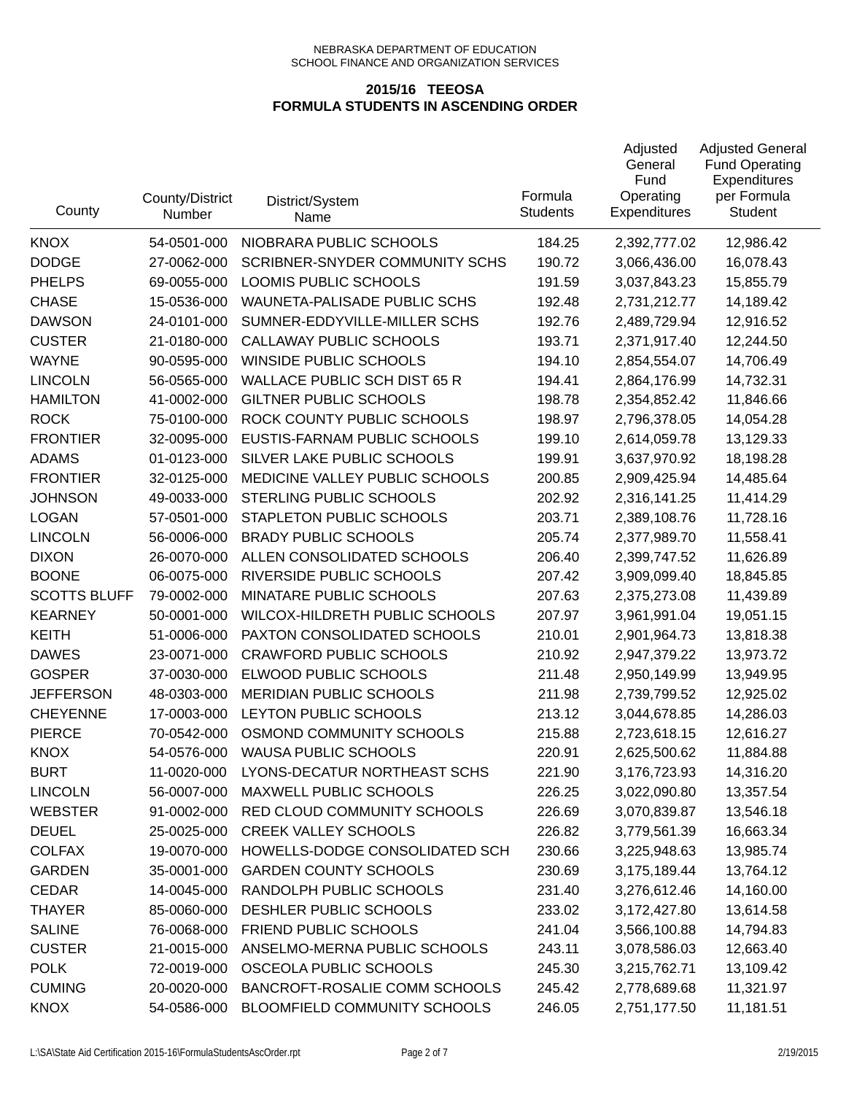| County              | County/District<br>Number | District/System<br>Name             | Formula<br><b>Students</b> | Adjusted<br>General<br>Fund<br>Operating<br><b>Expenditures</b> | <b>Adjusted General</b><br><b>Fund Operating</b><br>Expenditures<br>per Formula<br><b>Student</b> |
|---------------------|---------------------------|-------------------------------------|----------------------------|-----------------------------------------------------------------|---------------------------------------------------------------------------------------------------|
| <b>KNOX</b>         | 54-0501-000               | NIOBRARA PUBLIC SCHOOLS             | 184.25                     | 2,392,777.02                                                    | 12,986.42                                                                                         |
| <b>DODGE</b>        | 27-0062-000               | SCRIBNER-SNYDER COMMUNITY SCHS      | 190.72                     | 3,066,436.00                                                    | 16,078.43                                                                                         |
| <b>PHELPS</b>       | 69-0055-000               | LOOMIS PUBLIC SCHOOLS               | 191.59                     | 3,037,843.23                                                    | 15,855.79                                                                                         |
| <b>CHASE</b>        | 15-0536-000               | WAUNETA-PALISADE PUBLIC SCHS        | 192.48                     | 2,731,212.77                                                    | 14,189.42                                                                                         |
| <b>DAWSON</b>       | 24-0101-000               | SUMNER-EDDYVILLE-MILLER SCHS        | 192.76                     | 2,489,729.94                                                    | 12,916.52                                                                                         |
| <b>CUSTER</b>       | 21-0180-000               | CALLAWAY PUBLIC SCHOOLS             | 193.71                     | 2,371,917.40                                                    | 12,244.50                                                                                         |
| <b>WAYNE</b>        | 90-0595-000               | WINSIDE PUBLIC SCHOOLS              | 194.10                     | 2,854,554.07                                                    | 14,706.49                                                                                         |
| <b>LINCOLN</b>      | 56-0565-000               | <b>WALLACE PUBLIC SCH DIST 65 R</b> | 194.41                     | 2,864,176.99                                                    | 14,732.31                                                                                         |
| <b>HAMILTON</b>     | 41-0002-000               | <b>GILTNER PUBLIC SCHOOLS</b>       | 198.78                     | 2,354,852.42                                                    | 11,846.66                                                                                         |
| <b>ROCK</b>         | 75-0100-000               | ROCK COUNTY PUBLIC SCHOOLS          | 198.97                     | 2,796,378.05                                                    | 14,054.28                                                                                         |
| <b>FRONTIER</b>     | 32-0095-000               | EUSTIS-FARNAM PUBLIC SCHOOLS        | 199.10                     | 2,614,059.78                                                    | 13,129.33                                                                                         |
| <b>ADAMS</b>        | 01-0123-000               | SILVER LAKE PUBLIC SCHOOLS          | 199.91                     | 3,637,970.92                                                    | 18,198.28                                                                                         |
| <b>FRONTIER</b>     | 32-0125-000               | MEDICINE VALLEY PUBLIC SCHOOLS      | 200.85                     | 2,909,425.94                                                    | 14,485.64                                                                                         |
| <b>JOHNSON</b>      | 49-0033-000               | STERLING PUBLIC SCHOOLS             | 202.92                     | 2,316,141.25                                                    | 11,414.29                                                                                         |
| <b>LOGAN</b>        | 57-0501-000               | STAPLETON PUBLIC SCHOOLS            | 203.71                     | 2,389,108.76                                                    | 11,728.16                                                                                         |
| <b>LINCOLN</b>      | 56-0006-000               | <b>BRADY PUBLIC SCHOOLS</b>         | 205.74                     | 2,377,989.70                                                    | 11,558.41                                                                                         |
| <b>DIXON</b>        | 26-0070-000               | ALLEN CONSOLIDATED SCHOOLS          | 206.40                     | 2,399,747.52                                                    | 11,626.89                                                                                         |
| <b>BOONE</b>        | 06-0075-000               | RIVERSIDE PUBLIC SCHOOLS            | 207.42                     | 3,909,099.40                                                    | 18,845.85                                                                                         |
| <b>SCOTTS BLUFF</b> | 79-0002-000               | MINATARE PUBLIC SCHOOLS             | 207.63                     | 2,375,273.08                                                    | 11,439.89                                                                                         |
| <b>KEARNEY</b>      | 50-0001-000               | WILCOX-HILDRETH PUBLIC SCHOOLS      | 207.97                     | 3,961,991.04                                                    | 19,051.15                                                                                         |
| <b>KEITH</b>        | 51-0006-000               | PAXTON CONSOLIDATED SCHOOLS         | 210.01                     | 2,901,964.73                                                    | 13,818.38                                                                                         |
| <b>DAWES</b>        | 23-0071-000               | <b>CRAWFORD PUBLIC SCHOOLS</b>      | 210.92                     | 2,947,379.22                                                    | 13,973.72                                                                                         |
| <b>GOSPER</b>       | 37-0030-000               | ELWOOD PUBLIC SCHOOLS               | 211.48                     | 2,950,149.99                                                    | 13,949.95                                                                                         |
| <b>JEFFERSON</b>    | 48-0303-000               | MERIDIAN PUBLIC SCHOOLS             | 211.98                     | 2,739,799.52                                                    | 12,925.02                                                                                         |
| <b>CHEYENNE</b>     | 17-0003-000               | LEYTON PUBLIC SCHOOLS               | 213.12                     | 3,044,678.85                                                    | 14,286.03                                                                                         |
| <b>PIERCE</b>       | 70-0542-000               | OSMOND COMMUNITY SCHOOLS            | 215.88                     | 2,723,618.15                                                    | 12,616.27                                                                                         |
| <b>KNOX</b>         | 54-0576-000               | <b>WAUSA PUBLIC SCHOOLS</b>         | 220.91                     | 2,625,500.62                                                    | 11,884.88                                                                                         |
| <b>BURT</b>         | 11-0020-000               | LYONS-DECATUR NORTHEAST SCHS        | 221.90                     | 3,176,723.93                                                    | 14,316.20                                                                                         |
| <b>LINCOLN</b>      | 56-0007-000               | MAXWELL PUBLIC SCHOOLS              | 226.25                     | 3,022,090.80                                                    | 13,357.54                                                                                         |
| <b>WEBSTER</b>      | 91-0002-000               | RED CLOUD COMMUNITY SCHOOLS         | 226.69                     | 3,070,839.87                                                    | 13,546.18                                                                                         |
| <b>DEUEL</b>        | 25-0025-000               | <b>CREEK VALLEY SCHOOLS</b>         | 226.82                     | 3,779,561.39                                                    | 16,663.34                                                                                         |
| <b>COLFAX</b>       | 19-0070-000               | HOWELLS-DODGE CONSOLIDATED SCH      | 230.66                     | 3,225,948.63                                                    | 13,985.74                                                                                         |
| <b>GARDEN</b>       | 35-0001-000               | <b>GARDEN COUNTY SCHOOLS</b>        | 230.69                     | 3,175,189.44                                                    | 13,764.12                                                                                         |
| <b>CEDAR</b>        | 14-0045-000               | RANDOLPH PUBLIC SCHOOLS             | 231.40                     | 3,276,612.46                                                    | 14,160.00                                                                                         |
| <b>THAYER</b>       | 85-0060-000               | DESHLER PUBLIC SCHOOLS              | 233.02                     | 3,172,427.80                                                    | 13,614.58                                                                                         |
| <b>SALINE</b>       | 76-0068-000               | FRIEND PUBLIC SCHOOLS               | 241.04                     | 3,566,100.88                                                    | 14,794.83                                                                                         |
| <b>CUSTER</b>       | 21-0015-000               | ANSELMO-MERNA PUBLIC SCHOOLS        | 243.11                     | 3,078,586.03                                                    | 12,663.40                                                                                         |
| <b>POLK</b>         | 72-0019-000               | OSCEOLA PUBLIC SCHOOLS              | 245.30                     | 3,215,762.71                                                    | 13,109.42                                                                                         |
| <b>CUMING</b>       | 20-0020-000               | BANCROFT-ROSALIE COMM SCHOOLS       | 245.42                     | 2,778,689.68                                                    | 11,321.97                                                                                         |
| <b>KNOX</b>         | 54-0586-000               | BLOOMFIELD COMMUNITY SCHOOLS        | 246.05                     | 2,751,177.50                                                    | 11,181.51                                                                                         |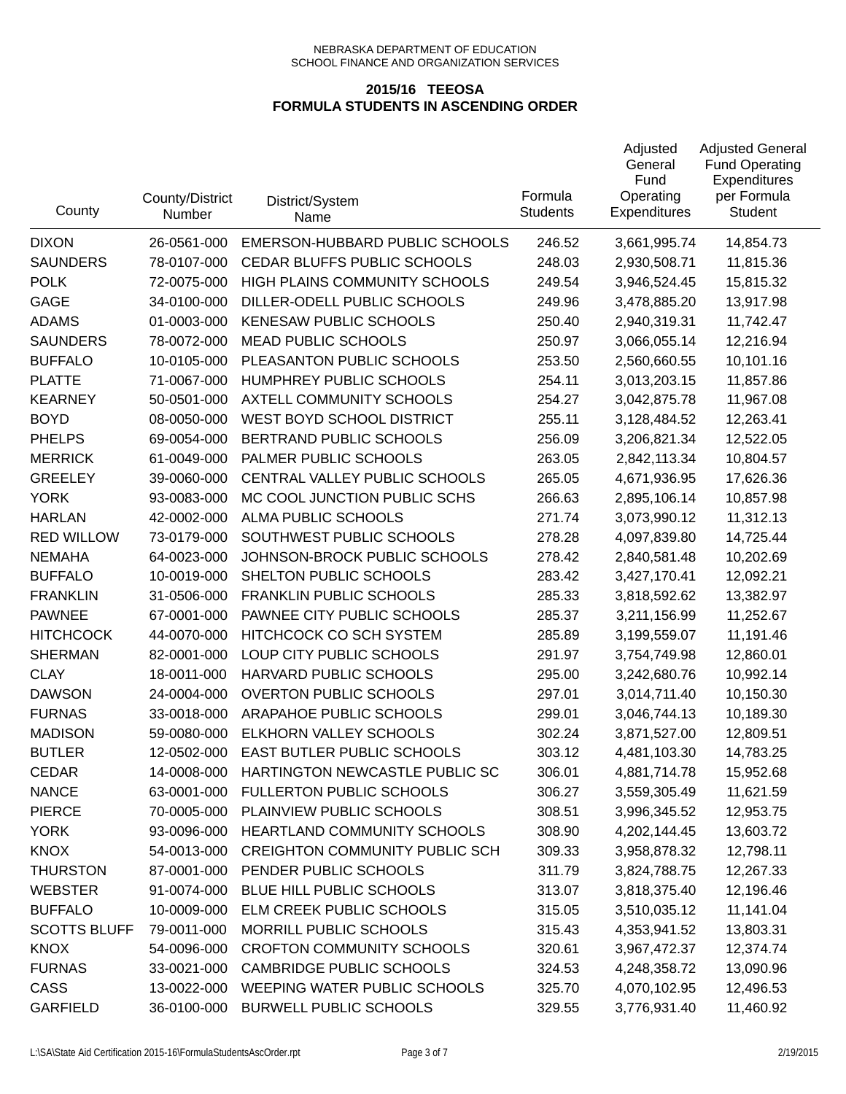| County              | County/District<br>Number | District/System<br>Name               | Formula<br><b>Students</b> | Adjusted<br>General<br>Fund<br>Operating<br><b>Expenditures</b> | <b>Adjusted General</b><br><b>Fund Operating</b><br>Expenditures<br>per Formula<br><b>Student</b> |
|---------------------|---------------------------|---------------------------------------|----------------------------|-----------------------------------------------------------------|---------------------------------------------------------------------------------------------------|
| <b>DIXON</b>        | 26-0561-000               | EMERSON-HUBBARD PUBLIC SCHOOLS        | 246.52                     | 3,661,995.74                                                    | 14,854.73                                                                                         |
| <b>SAUNDERS</b>     | 78-0107-000               | CEDAR BLUFFS PUBLIC SCHOOLS           | 248.03                     | 2,930,508.71                                                    | 11,815.36                                                                                         |
| <b>POLK</b>         | 72-0075-000               | HIGH PLAINS COMMUNITY SCHOOLS         | 249.54                     | 3,946,524.45                                                    | 15,815.32                                                                                         |
| GAGE                | 34-0100-000               | DILLER-ODELL PUBLIC SCHOOLS           | 249.96                     | 3,478,885.20                                                    | 13,917.98                                                                                         |
| <b>ADAMS</b>        | 01-0003-000               | <b>KENESAW PUBLIC SCHOOLS</b>         | 250.40                     | 2,940,319.31                                                    | 11,742.47                                                                                         |
| <b>SAUNDERS</b>     | 78-0072-000               | <b>MEAD PUBLIC SCHOOLS</b>            | 250.97                     | 3,066,055.14                                                    | 12,216.94                                                                                         |
| <b>BUFFALO</b>      | 10-0105-000               | PLEASANTON PUBLIC SCHOOLS             | 253.50                     | 2,560,660.55                                                    | 10,101.16                                                                                         |
| <b>PLATTE</b>       | 71-0067-000               | HUMPHREY PUBLIC SCHOOLS               | 254.11                     | 3,013,203.15                                                    | 11,857.86                                                                                         |
| <b>KEARNEY</b>      | 50-0501-000               | AXTELL COMMUNITY SCHOOLS              | 254.27                     | 3,042,875.78                                                    | 11,967.08                                                                                         |
| <b>BOYD</b>         | 08-0050-000               | WEST BOYD SCHOOL DISTRICT             | 255.11                     | 3,128,484.52                                                    | 12,263.41                                                                                         |
| <b>PHELPS</b>       | 69-0054-000               | BERTRAND PUBLIC SCHOOLS               | 256.09                     | 3,206,821.34                                                    | 12,522.05                                                                                         |
| <b>MERRICK</b>      | 61-0049-000               | PALMER PUBLIC SCHOOLS                 | 263.05                     | 2,842,113.34                                                    | 10,804.57                                                                                         |
| <b>GREELEY</b>      | 39-0060-000               | CENTRAL VALLEY PUBLIC SCHOOLS         | 265.05                     | 4,671,936.95                                                    | 17,626.36                                                                                         |
| <b>YORK</b>         | 93-0083-000               | MC COOL JUNCTION PUBLIC SCHS          | 266.63                     | 2,895,106.14                                                    | 10,857.98                                                                                         |
| <b>HARLAN</b>       | 42-0002-000               | ALMA PUBLIC SCHOOLS                   | 271.74                     | 3,073,990.12                                                    | 11,312.13                                                                                         |
| <b>RED WILLOW</b>   | 73-0179-000               | SOUTHWEST PUBLIC SCHOOLS              | 278.28                     | 4,097,839.80                                                    | 14,725.44                                                                                         |
| <b>NEMAHA</b>       | 64-0023-000               | JOHNSON-BROCK PUBLIC SCHOOLS          | 278.42                     | 2,840,581.48                                                    | 10,202.69                                                                                         |
| <b>BUFFALO</b>      | 10-0019-000               | SHELTON PUBLIC SCHOOLS                | 283.42                     | 3,427,170.41                                                    | 12,092.21                                                                                         |
| <b>FRANKLIN</b>     | 31-0506-000               | <b>FRANKLIN PUBLIC SCHOOLS</b>        | 285.33                     | 3,818,592.62                                                    | 13,382.97                                                                                         |
| <b>PAWNEE</b>       | 67-0001-000               | PAWNEE CITY PUBLIC SCHOOLS            | 285.37                     | 3,211,156.99                                                    | 11,252.67                                                                                         |
| <b>HITCHCOCK</b>    | 44-0070-000               | HITCHCOCK CO SCH SYSTEM               | 285.89                     | 3,199,559.07                                                    | 11,191.46                                                                                         |
| <b>SHERMAN</b>      | 82-0001-000               | LOUP CITY PUBLIC SCHOOLS              | 291.97                     | 3,754,749.98                                                    | 12,860.01                                                                                         |
| <b>CLAY</b>         | 18-0011-000               | HARVARD PUBLIC SCHOOLS                | 295.00                     | 3,242,680.76                                                    | 10,992.14                                                                                         |
| <b>DAWSON</b>       | 24-0004-000               | <b>OVERTON PUBLIC SCHOOLS</b>         | 297.01                     | 3,014,711.40                                                    | 10,150.30                                                                                         |
| <b>FURNAS</b>       | 33-0018-000               | ARAPAHOE PUBLIC SCHOOLS               | 299.01                     | 3,046,744.13                                                    | 10,189.30                                                                                         |
| <b>MADISON</b>      | 59-0080-000               | ELKHORN VALLEY SCHOOLS                | 302.24                     | 3,871,527.00                                                    | 12,809.51                                                                                         |
| <b>BUTLER</b>       | 12-0502-000               | <b>EAST BUTLER PUBLIC SCHOOLS</b>     | 303.12                     | 4,481,103.30                                                    | 14,783.25                                                                                         |
| CEDAR               | 14-0008-000               | HARTINGTON NEWCASTLE PUBLIC SC        | 306.01                     | 4,881,714.78                                                    | 15,952.68                                                                                         |
| <b>NANCE</b>        | 63-0001-000               | <b>FULLERTON PUBLIC SCHOOLS</b>       | 306.27                     | 3,559,305.49                                                    | 11,621.59                                                                                         |
| <b>PIERCE</b>       | 70-0005-000               | PLAINVIEW PUBLIC SCHOOLS              | 308.51                     | 3,996,345.52                                                    | 12,953.75                                                                                         |
| <b>YORK</b>         | 93-0096-000               | HEARTLAND COMMUNITY SCHOOLS           | 308.90                     | 4,202,144.45                                                    | 13,603.72                                                                                         |
| <b>KNOX</b>         | 54-0013-000               | <b>CREIGHTON COMMUNITY PUBLIC SCH</b> | 309.33                     | 3,958,878.32                                                    | 12,798.11                                                                                         |
| <b>THURSTON</b>     | 87-0001-000               | PENDER PUBLIC SCHOOLS                 | 311.79                     | 3,824,788.75                                                    | 12,267.33                                                                                         |
| <b>WEBSTER</b>      | 91-0074-000               | BLUE HILL PUBLIC SCHOOLS              | 313.07                     | 3,818,375.40                                                    | 12,196.46                                                                                         |
| <b>BUFFALO</b>      | 10-0009-000               | ELM CREEK PUBLIC SCHOOLS              | 315.05                     | 3,510,035.12                                                    | 11,141.04                                                                                         |
| <b>SCOTTS BLUFF</b> | 79-0011-000               | MORRILL PUBLIC SCHOOLS                | 315.43                     | 4,353,941.52                                                    | 13,803.31                                                                                         |
| <b>KNOX</b>         | 54-0096-000               | <b>CROFTON COMMUNITY SCHOOLS</b>      | 320.61                     | 3,967,472.37                                                    | 12,374.74                                                                                         |
| <b>FURNAS</b>       | 33-0021-000               | <b>CAMBRIDGE PUBLIC SCHOOLS</b>       | 324.53                     | 4,248,358.72                                                    | 13,090.96                                                                                         |
| CASS                | 13-0022-000               | WEEPING WATER PUBLIC SCHOOLS          | 325.70                     | 4,070,102.95                                                    | 12,496.53                                                                                         |
| <b>GARFIELD</b>     | 36-0100-000               | <b>BURWELL PUBLIC SCHOOLS</b>         | 329.55                     | 3,776,931.40                                                    | 11,460.92                                                                                         |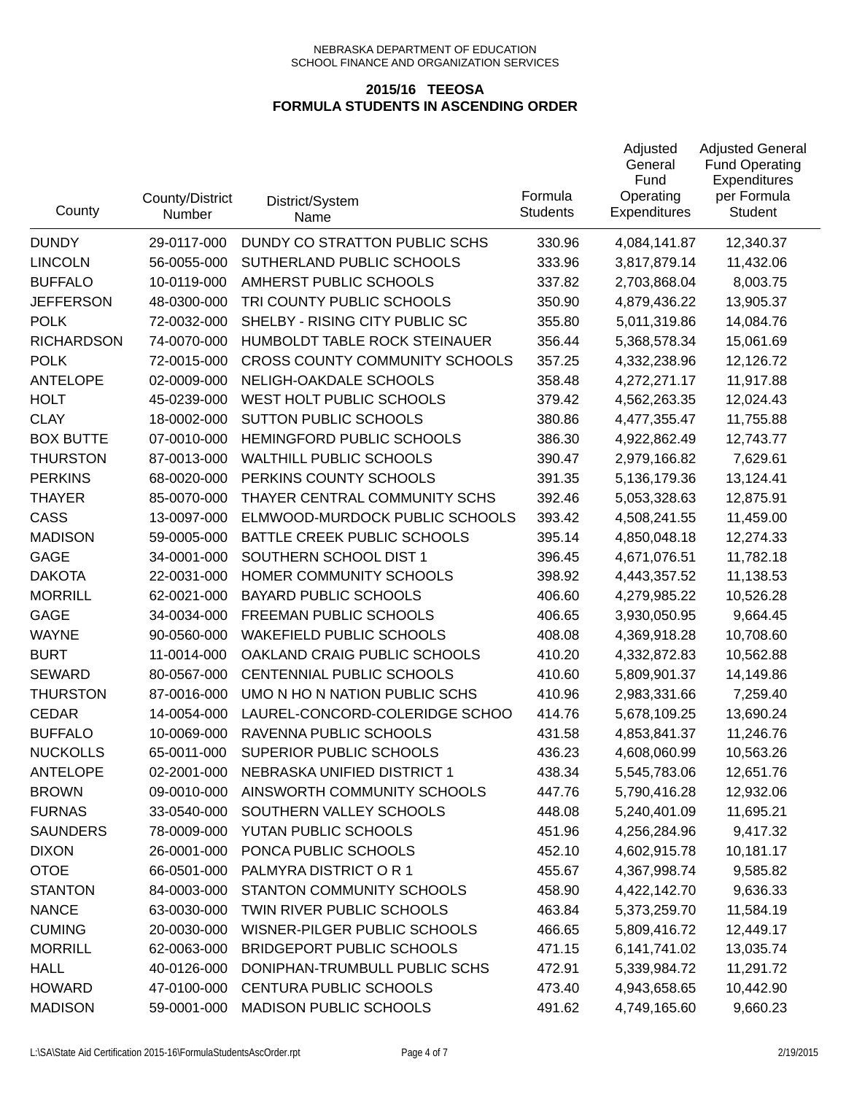| County            | County/District<br>Number | District/System<br>Name               | Formula<br><b>Students</b> | Adjusted<br>General<br>Fund<br>Operating<br><b>Expenditures</b> | <b>Adjusted General</b><br><b>Fund Operating</b><br>Expenditures<br>per Formula<br><b>Student</b> |
|-------------------|---------------------------|---------------------------------------|----------------------------|-----------------------------------------------------------------|---------------------------------------------------------------------------------------------------|
| <b>DUNDY</b>      | 29-0117-000               | DUNDY CO STRATTON PUBLIC SCHS         | 330.96                     | 4,084,141.87                                                    | 12,340.37                                                                                         |
| <b>LINCOLN</b>    | 56-0055-000               | SUTHERLAND PUBLIC SCHOOLS             | 333.96                     | 3,817,879.14                                                    | 11,432.06                                                                                         |
| <b>BUFFALO</b>    | 10-0119-000               | AMHERST PUBLIC SCHOOLS                | 337.82                     | 2,703,868.04                                                    | 8,003.75                                                                                          |
| <b>JEFFERSON</b>  | 48-0300-000               | TRI COUNTY PUBLIC SCHOOLS             | 350.90                     | 4,879,436.22                                                    | 13,905.37                                                                                         |
| <b>POLK</b>       | 72-0032-000               | SHELBY - RISING CITY PUBLIC SC        | 355.80                     | 5,011,319.86                                                    | 14,084.76                                                                                         |
| <b>RICHARDSON</b> | 74-0070-000               | HUMBOLDT TABLE ROCK STEINAUER         | 356.44                     | 5,368,578.34                                                    | 15,061.69                                                                                         |
| <b>POLK</b>       | 72-0015-000               | <b>CROSS COUNTY COMMUNITY SCHOOLS</b> | 357.25                     | 4,332,238.96                                                    | 12,126.72                                                                                         |
| <b>ANTELOPE</b>   | 02-0009-000               | NELIGH-OAKDALE SCHOOLS                | 358.48                     | 4,272,271.17                                                    | 11,917.88                                                                                         |
| <b>HOLT</b>       | 45-0239-000               | WEST HOLT PUBLIC SCHOOLS              | 379.42                     | 4,562,263.35                                                    | 12,024.43                                                                                         |
| <b>CLAY</b>       | 18-0002-000               | <b>SUTTON PUBLIC SCHOOLS</b>          | 380.86                     | 4,477,355.47                                                    | 11,755.88                                                                                         |
| <b>BOX BUTTE</b>  | 07-0010-000               | HEMINGFORD PUBLIC SCHOOLS             | 386.30                     | 4,922,862.49                                                    | 12,743.77                                                                                         |
| <b>THURSTON</b>   | 87-0013-000               | <b>WALTHILL PUBLIC SCHOOLS</b>        | 390.47                     | 2,979,166.82                                                    | 7,629.61                                                                                          |
| <b>PERKINS</b>    | 68-0020-000               | PERKINS COUNTY SCHOOLS                | 391.35                     | 5,136,179.36                                                    | 13,124.41                                                                                         |
| <b>THAYER</b>     | 85-0070-000               | THAYER CENTRAL COMMUNITY SCHS         | 392.46                     | 5,053,328.63                                                    | 12,875.91                                                                                         |
| <b>CASS</b>       | 13-0097-000               | ELMWOOD-MURDOCK PUBLIC SCHOOLS        | 393.42                     | 4,508,241.55                                                    | 11,459.00                                                                                         |
| <b>MADISON</b>    | 59-0005-000               | BATTLE CREEK PUBLIC SCHOOLS           | 395.14                     | 4,850,048.18                                                    | 12,274.33                                                                                         |
| <b>GAGE</b>       | 34-0001-000               | SOUTHERN SCHOOL DIST 1                | 396.45                     | 4,671,076.51                                                    | 11,782.18                                                                                         |
| <b>DAKOTA</b>     | 22-0031-000               | HOMER COMMUNITY SCHOOLS               | 398.92                     | 4,443,357.52                                                    | 11,138.53                                                                                         |
| <b>MORRILL</b>    | 62-0021-000               | <b>BAYARD PUBLIC SCHOOLS</b>          | 406.60                     | 4,279,985.22                                                    | 10,526.28                                                                                         |
| <b>GAGE</b>       | 34-0034-000               | FREEMAN PUBLIC SCHOOLS                | 406.65                     | 3,930,050.95                                                    | 9,664.45                                                                                          |
| <b>WAYNE</b>      | 90-0560-000               | <b>WAKEFIELD PUBLIC SCHOOLS</b>       | 408.08                     | 4,369,918.28                                                    | 10,708.60                                                                                         |
| <b>BURT</b>       | 11-0014-000               | OAKLAND CRAIG PUBLIC SCHOOLS          | 410.20                     | 4,332,872.83                                                    | 10,562.88                                                                                         |
| <b>SEWARD</b>     | 80-0567-000               | CENTENNIAL PUBLIC SCHOOLS             | 410.60                     | 5,809,901.37                                                    | 14,149.86                                                                                         |
| <b>THURSTON</b>   | 87-0016-000               | UMO N HO N NATION PUBLIC SCHS         | 410.96                     | 2,983,331.66                                                    | 7,259.40                                                                                          |
| <b>CEDAR</b>      | 14-0054-000               | LAUREL-CONCORD-COLERIDGE SCHOO        | 414.76                     | 5,678,109.25                                                    | 13,690.24                                                                                         |
| <b>BUFFALO</b>    | 10-0069-000               | RAVENNA PUBLIC SCHOOLS                | 431.58                     | 4,853,841.37                                                    | 11,246.76                                                                                         |
| <b>NUCKOLLS</b>   | 65-0011-000               | SUPERIOR PUBLIC SCHOOLS               | 436.23                     | 4,608,060.99                                                    | 10,563.26                                                                                         |
| <b>ANTELOPE</b>   | 02-2001-000               | NEBRASKA UNIFIED DISTRICT 1           | 438.34                     | 5,545,783.06                                                    | 12,651.76                                                                                         |
| <b>BROWN</b>      | 09-0010-000               | AINSWORTH COMMUNITY SCHOOLS           | 447.76                     | 5,790,416.28                                                    | 12,932.06                                                                                         |
| <b>FURNAS</b>     | 33-0540-000               | SOUTHERN VALLEY SCHOOLS               | 448.08                     | 5,240,401.09                                                    | 11,695.21                                                                                         |
| <b>SAUNDERS</b>   | 78-0009-000               | YUTAN PUBLIC SCHOOLS                  | 451.96                     | 4,256,284.96                                                    | 9,417.32                                                                                          |
| <b>DIXON</b>      | 26-0001-000               | PONCA PUBLIC SCHOOLS                  | 452.10                     | 4,602,915.78                                                    | 10,181.17                                                                                         |
| <b>OTOE</b>       | 66-0501-000               | PALMYRA DISTRICT OR 1                 | 455.67                     | 4,367,998.74                                                    | 9,585.82                                                                                          |
| <b>STANTON</b>    | 84-0003-000               | STANTON COMMUNITY SCHOOLS             | 458.90                     | 4,422,142.70                                                    | 9,636.33                                                                                          |
| <b>NANCE</b>      | 63-0030-000               | TWIN RIVER PUBLIC SCHOOLS             | 463.84                     | 5,373,259.70                                                    | 11,584.19                                                                                         |
| <b>CUMING</b>     | 20-0030-000               | WISNER-PILGER PUBLIC SCHOOLS          | 466.65                     | 5,809,416.72                                                    | 12,449.17                                                                                         |
| <b>MORRILL</b>    | 62-0063-000               | <b>BRIDGEPORT PUBLIC SCHOOLS</b>      | 471.15                     | 6,141,741.02                                                    | 13,035.74                                                                                         |
| <b>HALL</b>       | 40-0126-000               | DONIPHAN-TRUMBULL PUBLIC SCHS         | 472.91                     | 5,339,984.72                                                    | 11,291.72                                                                                         |
| <b>HOWARD</b>     | 47-0100-000               | <b>CENTURA PUBLIC SCHOOLS</b>         | 473.40                     | 4,943,658.65                                                    | 10,442.90                                                                                         |
| <b>MADISON</b>    | 59-0001-000               | MADISON PUBLIC SCHOOLS                | 491.62                     | 4,749,165.60                                                    | 9,660.23                                                                                          |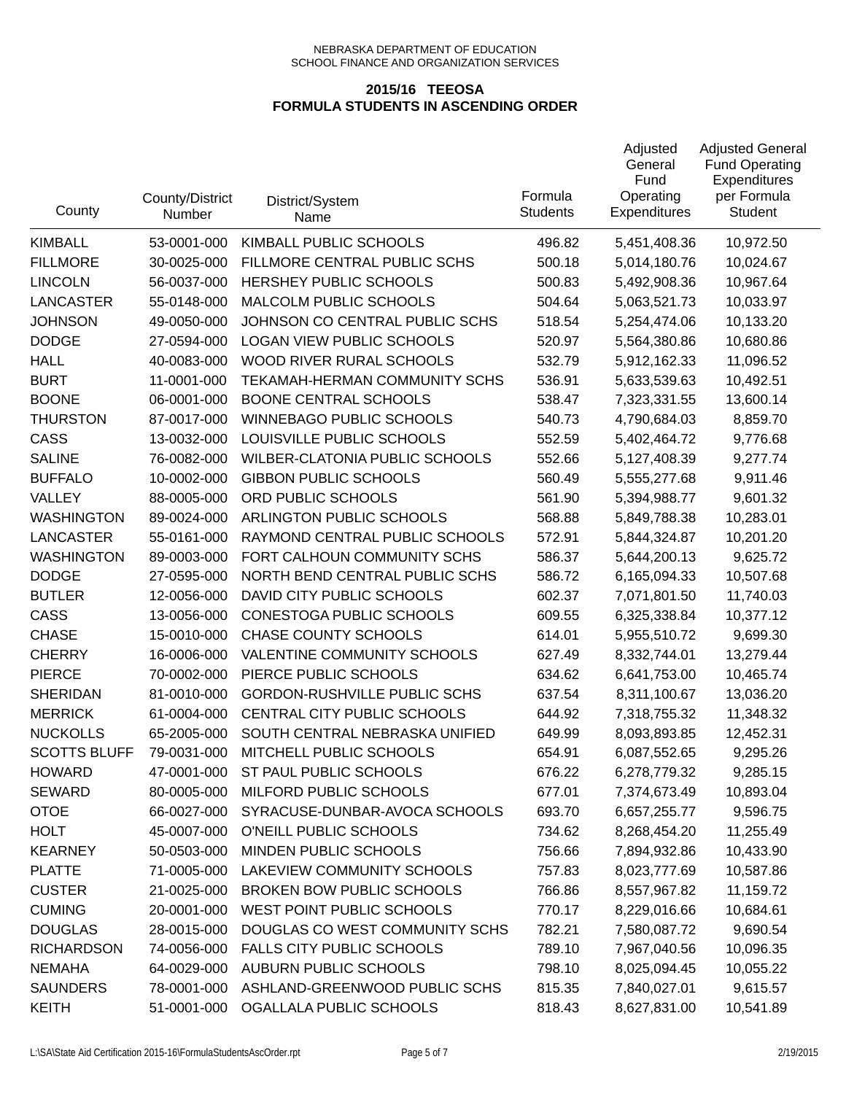| County              | County/District<br>Number | District/System<br>Name             | Formula<br><b>Students</b> | Adjusted<br>General<br>Fund<br>Operating<br><b>Expenditures</b> | <b>Adjusted General</b><br><b>Fund Operating</b><br>Expenditures<br>per Formula<br><b>Student</b> |
|---------------------|---------------------------|-------------------------------------|----------------------------|-----------------------------------------------------------------|---------------------------------------------------------------------------------------------------|
| <b>KIMBALL</b>      | 53-0001-000               | KIMBALL PUBLIC SCHOOLS              | 496.82                     | 5,451,408.36                                                    | 10,972.50                                                                                         |
| <b>FILLMORE</b>     | 30-0025-000               | FILLMORE CENTRAL PUBLIC SCHS        | 500.18                     | 5,014,180.76                                                    | 10,024.67                                                                                         |
| <b>LINCOLN</b>      | 56-0037-000               | HERSHEY PUBLIC SCHOOLS              | 500.83                     | 5,492,908.36                                                    | 10,967.64                                                                                         |
| <b>LANCASTER</b>    | 55-0148-000               | MALCOLM PUBLIC SCHOOLS              | 504.64                     | 5,063,521.73                                                    | 10,033.97                                                                                         |
| <b>JOHNSON</b>      | 49-0050-000               | JOHNSON CO CENTRAL PUBLIC SCHS      | 518.54                     | 5,254,474.06                                                    | 10,133.20                                                                                         |
| <b>DODGE</b>        | 27-0594-000               | LOGAN VIEW PUBLIC SCHOOLS           | 520.97                     | 5,564,380.86                                                    | 10,680.86                                                                                         |
| <b>HALL</b>         | 40-0083-000               | WOOD RIVER RURAL SCHOOLS            | 532.79                     | 5,912,162.33                                                    | 11,096.52                                                                                         |
| <b>BURT</b>         | 11-0001-000               | TEKAMAH-HERMAN COMMUNITY SCHS       | 536.91                     | 5,633,539.63                                                    | 10,492.51                                                                                         |
| <b>BOONE</b>        | 06-0001-000               | <b>BOONE CENTRAL SCHOOLS</b>        | 538.47                     | 7,323,331.55                                                    | 13,600.14                                                                                         |
| <b>THURSTON</b>     | 87-0017-000               | <b>WINNEBAGO PUBLIC SCHOOLS</b>     | 540.73                     | 4,790,684.03                                                    | 8,859.70                                                                                          |
| CASS                | 13-0032-000               | LOUISVILLE PUBLIC SCHOOLS           | 552.59                     | 5,402,464.72                                                    | 9,776.68                                                                                          |
| <b>SALINE</b>       | 76-0082-000               | WILBER-CLATONIA PUBLIC SCHOOLS      | 552.66                     | 5,127,408.39                                                    | 9,277.74                                                                                          |
| <b>BUFFALO</b>      | 10-0002-000               | <b>GIBBON PUBLIC SCHOOLS</b>        | 560.49                     | 5,555,277.68                                                    | 9,911.46                                                                                          |
| VALLEY              | 88-0005-000               | ORD PUBLIC SCHOOLS                  | 561.90                     | 5,394,988.77                                                    | 9,601.32                                                                                          |
| <b>WASHINGTON</b>   | 89-0024-000               | ARLINGTON PUBLIC SCHOOLS            | 568.88                     | 5,849,788.38                                                    | 10,283.01                                                                                         |
| <b>LANCASTER</b>    | 55-0161-000               | RAYMOND CENTRAL PUBLIC SCHOOLS      | 572.91                     | 5,844,324.87                                                    | 10,201.20                                                                                         |
| <b>WASHINGTON</b>   | 89-0003-000               | FORT CALHOUN COMMUNITY SCHS         | 586.37                     | 5,644,200.13                                                    | 9,625.72                                                                                          |
| <b>DODGE</b>        | 27-0595-000               | NORTH BEND CENTRAL PUBLIC SCHS      | 586.72                     | 6,165,094.33                                                    | 10,507.68                                                                                         |
| <b>BUTLER</b>       | 12-0056-000               | DAVID CITY PUBLIC SCHOOLS           | 602.37                     | 7,071,801.50                                                    | 11,740.03                                                                                         |
| CASS                | 13-0056-000               | CONESTOGA PUBLIC SCHOOLS            | 609.55                     | 6,325,338.84                                                    | 10,377.12                                                                                         |
| <b>CHASE</b>        | 15-0010-000               | <b>CHASE COUNTY SCHOOLS</b>         | 614.01                     | 5,955,510.72                                                    | 9,699.30                                                                                          |
| <b>CHERRY</b>       | 16-0006-000               | VALENTINE COMMUNITY SCHOOLS         | 627.49                     | 8,332,744.01                                                    | 13,279.44                                                                                         |
| <b>PIERCE</b>       | 70-0002-000               | PIERCE PUBLIC SCHOOLS               | 634.62                     | 6,641,753.00                                                    | 10,465.74                                                                                         |
| <b>SHERIDAN</b>     | 81-0010-000               | <b>GORDON-RUSHVILLE PUBLIC SCHS</b> | 637.54                     | 8,311,100.67                                                    | 13,036.20                                                                                         |
| <b>MERRICK</b>      | 61-0004-000               | CENTRAL CITY PUBLIC SCHOOLS         | 644.92                     | 7,318,755.32                                                    | 11,348.32                                                                                         |
| <b>NUCKOLLS</b>     | 65-2005-000               | SOUTH CENTRAL NEBRASKA UNIFIED      | 649.99                     | 8,093,893.85                                                    | 12,452.31                                                                                         |
| <b>SCOTTS BLUFF</b> | 79-0031-000               | MITCHELL PUBLIC SCHOOLS             | 654.91                     | 6,087,552.65                                                    | 9,295.26                                                                                          |
| <b>HOWARD</b>       | 47-0001-000               | ST PAUL PUBLIC SCHOOLS              | 676.22                     | 6,278,779.32                                                    | 9,285.15                                                                                          |
| <b>SEWARD</b>       | 80-0005-000               | MILFORD PUBLIC SCHOOLS              | 677.01                     | 7,374,673.49                                                    | 10,893.04                                                                                         |
| <b>OTOE</b>         | 66-0027-000               | SYRACUSE-DUNBAR-AVOCA SCHOOLS       | 693.70                     | 6,657,255.77                                                    | 9,596.75                                                                                          |
| <b>HOLT</b>         | 45-0007-000               | O'NEILL PUBLIC SCHOOLS              | 734.62                     | 8,268,454.20                                                    | 11,255.49                                                                                         |
| <b>KEARNEY</b>      | 50-0503-000               | MINDEN PUBLIC SCHOOLS               | 756.66                     | 7,894,932.86                                                    | 10,433.90                                                                                         |
| <b>PLATTE</b>       | 71-0005-000               | LAKEVIEW COMMUNITY SCHOOLS          | 757.83                     | 8,023,777.69                                                    | 10,587.86                                                                                         |
| <b>CUSTER</b>       | 21-0025-000               | <b>BROKEN BOW PUBLIC SCHOOLS</b>    | 766.86                     | 8,557,967.82                                                    | 11,159.72                                                                                         |
| <b>CUMING</b>       | 20-0001-000               | WEST POINT PUBLIC SCHOOLS           | 770.17                     | 8,229,016.66                                                    | 10,684.61                                                                                         |
| <b>DOUGLAS</b>      | 28-0015-000               | DOUGLAS CO WEST COMMUNITY SCHS      | 782.21                     | 7,580,087.72                                                    | 9,690.54                                                                                          |
| <b>RICHARDSON</b>   | 74-0056-000               | <b>FALLS CITY PUBLIC SCHOOLS</b>    | 789.10                     | 7,967,040.56                                                    | 10,096.35                                                                                         |
| <b>NEMAHA</b>       | 64-0029-000               | <b>AUBURN PUBLIC SCHOOLS</b>        | 798.10                     | 8,025,094.45                                                    | 10,055.22                                                                                         |
| <b>SAUNDERS</b>     | 78-0001-000               | ASHLAND-GREENWOOD PUBLIC SCHS       | 815.35                     | 7,840,027.01                                                    | 9,615.57                                                                                          |
| <b>KEITH</b>        | 51-0001-000               | OGALLALA PUBLIC SCHOOLS             | 818.43                     | 8,627,831.00                                                    | 10,541.89                                                                                         |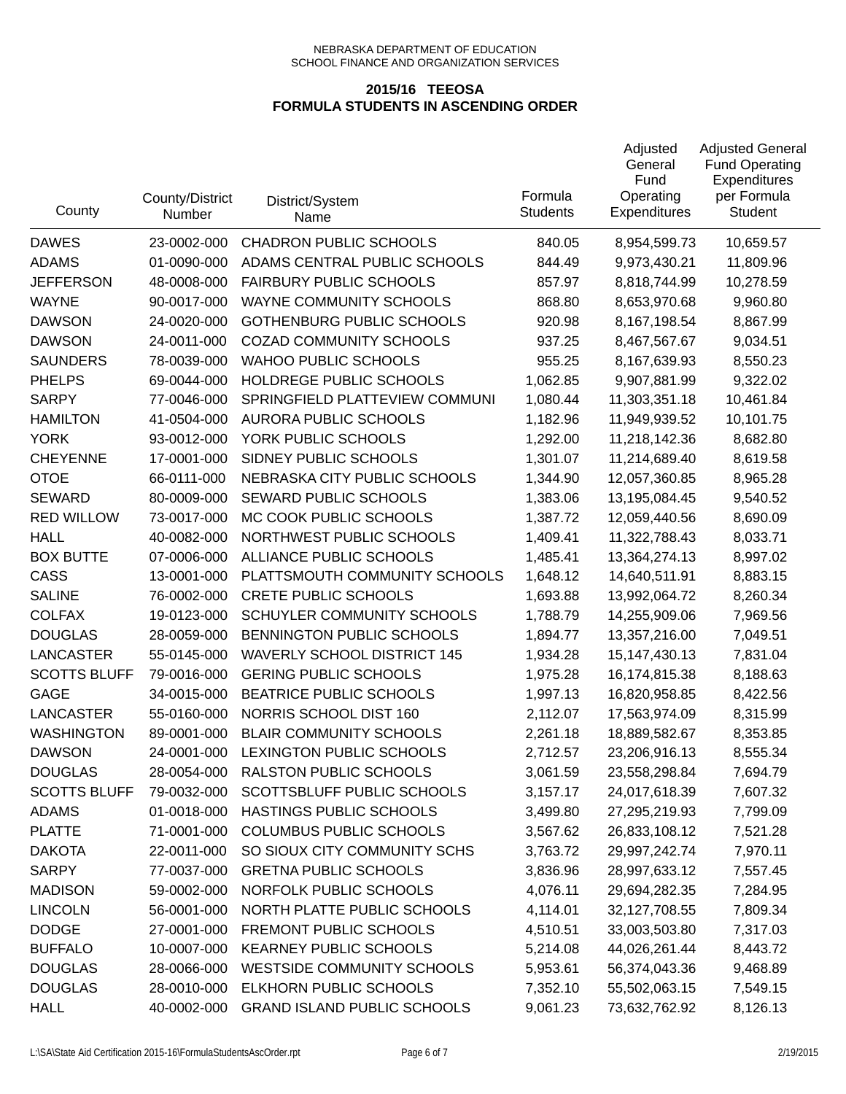| County              | County/District<br>Number | District/System<br>Name            | Formula<br><b>Students</b> | Adjusted<br>General<br>Fund<br>Operating<br><b>Expenditures</b> | <b>Adjusted General</b><br><b>Fund Operating</b><br>Expenditures<br>per Formula<br><b>Student</b> |
|---------------------|---------------------------|------------------------------------|----------------------------|-----------------------------------------------------------------|---------------------------------------------------------------------------------------------------|
| <b>DAWES</b>        | 23-0002-000               | <b>CHADRON PUBLIC SCHOOLS</b>      | 840.05                     | 8,954,599.73                                                    | 10,659.57                                                                                         |
| <b>ADAMS</b>        | 01-0090-000               | ADAMS CENTRAL PUBLIC SCHOOLS       | 844.49                     | 9,973,430.21                                                    | 11,809.96                                                                                         |
| <b>JEFFERSON</b>    | 48-0008-000               | <b>FAIRBURY PUBLIC SCHOOLS</b>     | 857.97                     | 8,818,744.99                                                    | 10,278.59                                                                                         |
| <b>WAYNE</b>        | 90-0017-000               | <b>WAYNE COMMUNITY SCHOOLS</b>     | 868.80                     | 8,653,970.68                                                    | 9,960.80                                                                                          |
| <b>DAWSON</b>       | 24-0020-000               | <b>GOTHENBURG PUBLIC SCHOOLS</b>   | 920.98                     | 8,167,198.54                                                    | 8,867.99                                                                                          |
| <b>DAWSON</b>       | 24-0011-000               | <b>COZAD COMMUNITY SCHOOLS</b>     | 937.25                     | 8,467,567.67                                                    | 9,034.51                                                                                          |
| <b>SAUNDERS</b>     | 78-0039-000               | <b>WAHOO PUBLIC SCHOOLS</b>        | 955.25                     | 8,167,639.93                                                    | 8,550.23                                                                                          |
| <b>PHELPS</b>       | 69-0044-000               | HOLDREGE PUBLIC SCHOOLS            | 1,062.85                   | 9,907,881.99                                                    | 9,322.02                                                                                          |
| <b>SARPY</b>        | 77-0046-000               | SPRINGFIELD PLATTEVIEW COMMUNI     | 1,080.44                   | 11,303,351.18                                                   | 10,461.84                                                                                         |
| <b>HAMILTON</b>     | 41-0504-000               | <b>AURORA PUBLIC SCHOOLS</b>       | 1,182.96                   | 11,949,939.52                                                   | 10,101.75                                                                                         |
| <b>YORK</b>         | 93-0012-000               | YORK PUBLIC SCHOOLS                | 1,292.00                   | 11,218,142.36                                                   | 8,682.80                                                                                          |
| <b>CHEYENNE</b>     | 17-0001-000               | SIDNEY PUBLIC SCHOOLS              | 1,301.07                   | 11,214,689.40                                                   | 8,619.58                                                                                          |
| <b>OTOE</b>         | 66-0111-000               | NEBRASKA CITY PUBLIC SCHOOLS       | 1,344.90                   | 12,057,360.85                                                   | 8,965.28                                                                                          |
| <b>SEWARD</b>       | 80-0009-000               | SEWARD PUBLIC SCHOOLS              | 1,383.06                   | 13,195,084.45                                                   | 9,540.52                                                                                          |
| <b>RED WILLOW</b>   | 73-0017-000               | MC COOK PUBLIC SCHOOLS             | 1,387.72                   | 12,059,440.56                                                   | 8,690.09                                                                                          |
| <b>HALL</b>         | 40-0082-000               | NORTHWEST PUBLIC SCHOOLS           | 1,409.41                   | 11,322,788.43                                                   | 8,033.71                                                                                          |
| <b>BOX BUTTE</b>    | 07-0006-000               | ALLIANCE PUBLIC SCHOOLS            | 1,485.41                   | 13,364,274.13                                                   | 8,997.02                                                                                          |
| CASS                | 13-0001-000               | PLATTSMOUTH COMMUNITY SCHOOLS      | 1,648.12                   | 14,640,511.91                                                   | 8,883.15                                                                                          |
| <b>SALINE</b>       | 76-0002-000               | <b>CRETE PUBLIC SCHOOLS</b>        | 1,693.88                   | 13,992,064.72                                                   | 8,260.34                                                                                          |
| <b>COLFAX</b>       | 19-0123-000               | SCHUYLER COMMUNITY SCHOOLS         | 1,788.79                   | 14,255,909.06                                                   | 7,969.56                                                                                          |
| <b>DOUGLAS</b>      | 28-0059-000               | BENNINGTON PUBLIC SCHOOLS          | 1,894.77                   | 13,357,216.00                                                   | 7,049.51                                                                                          |
| LANCASTER           | 55-0145-000               | <b>WAVERLY SCHOOL DISTRICT 145</b> | 1,934.28                   | 15, 147, 430. 13                                                | 7,831.04                                                                                          |
| <b>SCOTTS BLUFF</b> | 79-0016-000               | <b>GERING PUBLIC SCHOOLS</b>       | 1,975.28                   | 16,174,815.38                                                   | 8,188.63                                                                                          |
| <b>GAGE</b>         | 34-0015-000               | BEATRICE PUBLIC SCHOOLS            | 1,997.13                   | 16,820,958.85                                                   | 8,422.56                                                                                          |
| <b>LANCASTER</b>    | 55-0160-000               | NORRIS SCHOOL DIST 160             | 2,112.07                   | 17,563,974.09                                                   | 8,315.99                                                                                          |
| <b>WASHINGTON</b>   | 89-0001-000               | <b>BLAIR COMMUNITY SCHOOLS</b>     | 2,261.18                   | 18,889,582.67                                                   | 8,353.85                                                                                          |
| <b>DAWSON</b>       | 24-0001-000               | LEXINGTON PUBLIC SCHOOLS           | 2,712.57                   | 23,206,916.13                                                   | 8,555.34                                                                                          |
| <b>DOUGLAS</b>      | 28-0054-000               | RALSTON PUBLIC SCHOOLS             | 3,061.59                   | 23,558,298.84                                                   | 7,694.79                                                                                          |
| <b>SCOTTS BLUFF</b> | 79-0032-000               | SCOTTSBLUFF PUBLIC SCHOOLS         | 3,157.17                   | 24,017,618.39                                                   | 7,607.32                                                                                          |
| <b>ADAMS</b>        | 01-0018-000               | HASTINGS PUBLIC SCHOOLS            | 3,499.80                   | 27,295,219.93                                                   | 7,799.09                                                                                          |
| <b>PLATTE</b>       | 71-0001-000               | COLUMBUS PUBLIC SCHOOLS            | 3,567.62                   | 26,833,108.12                                                   | 7,521.28                                                                                          |
| <b>DAKOTA</b>       | 22-0011-000               | SO SIOUX CITY COMMUNITY SCHS       | 3,763.72                   | 29,997,242.74                                                   | 7,970.11                                                                                          |
| <b>SARPY</b>        | 77-0037-000               | <b>GRETNA PUBLIC SCHOOLS</b>       | 3,836.96                   | 28,997,633.12                                                   | 7,557.45                                                                                          |
| <b>MADISON</b>      | 59-0002-000               | NORFOLK PUBLIC SCHOOLS             | 4,076.11                   | 29,694,282.35                                                   | 7,284.95                                                                                          |
| <b>LINCOLN</b>      | 56-0001-000               | NORTH PLATTE PUBLIC SCHOOLS        | 4,114.01                   | 32,127,708.55                                                   | 7,809.34                                                                                          |
| <b>DODGE</b>        | 27-0001-000               | <b>FREMONT PUBLIC SCHOOLS</b>      | 4,510.51                   | 33,003,503.80                                                   | 7,317.03                                                                                          |
| <b>BUFFALO</b>      | 10-0007-000               | <b>KEARNEY PUBLIC SCHOOLS</b>      | 5,214.08                   | 44,026,261.44                                                   | 8,443.72                                                                                          |
| <b>DOUGLAS</b>      | 28-0066-000               | <b>WESTSIDE COMMUNITY SCHOOLS</b>  | 5,953.61                   | 56,374,043.36                                                   | 9,468.89                                                                                          |
| <b>DOUGLAS</b>      | 28-0010-000               | ELKHORN PUBLIC SCHOOLS             | 7,352.10                   | 55,502,063.15                                                   | 7,549.15                                                                                          |
| <b>HALL</b>         | 40-0002-000               | <b>GRAND ISLAND PUBLIC SCHOOLS</b> | 9,061.23                   | 73,632,762.92                                                   | 8,126.13                                                                                          |